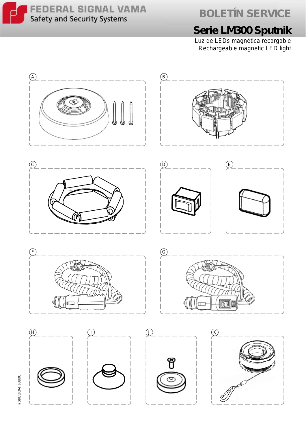

**BOLETÍN SERVICE**

## **Serie LM300 Sputnik**

Luz de LEDs magnética recargable *Rechargeable magnetic LED light*



# S1055009-1 03/2008 # S1055009-1 03/2008